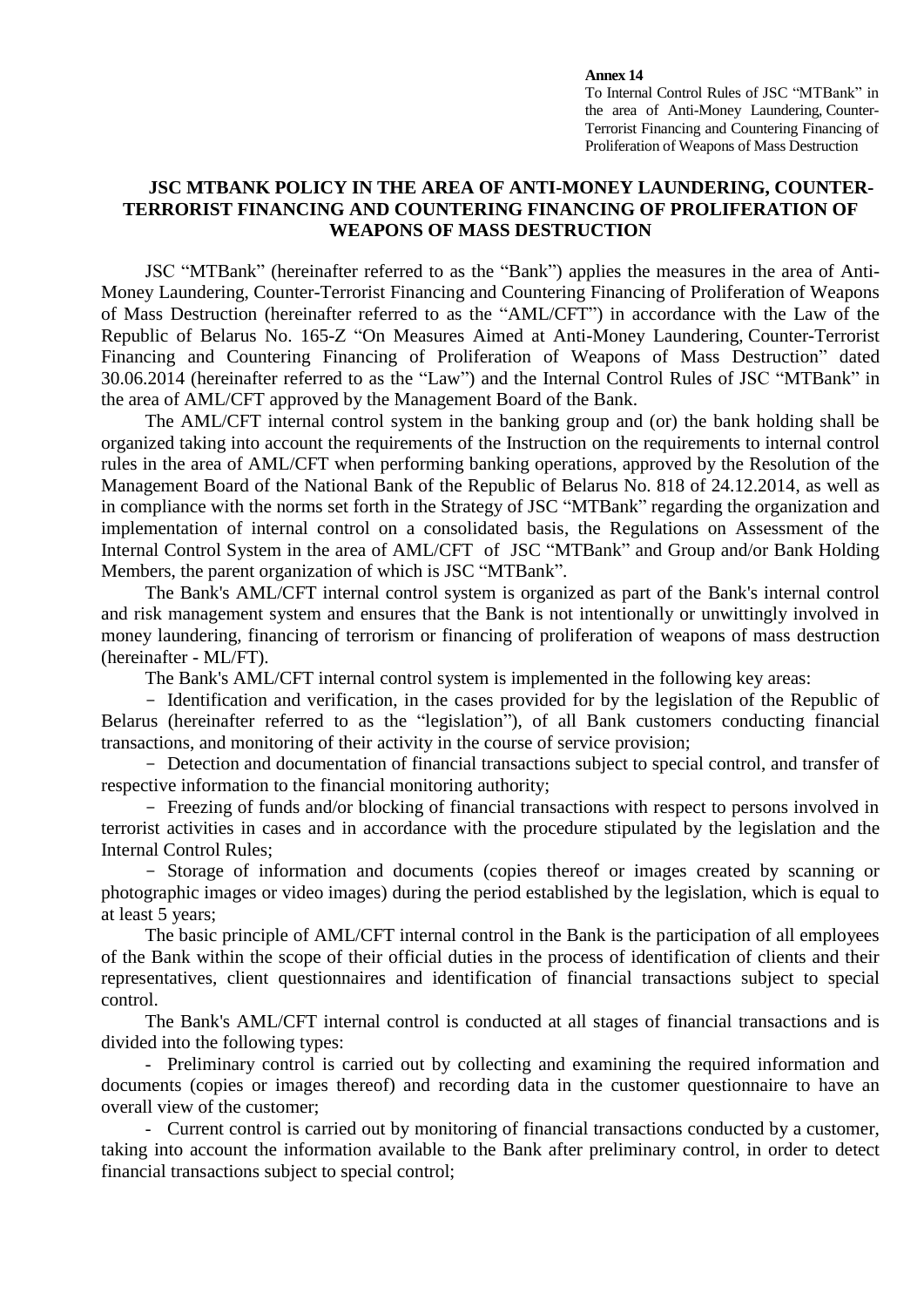## **Annex 14**

To Internal Control Rules of JSC "MTBank" in the area of Anti-Money Laundering, Counter-Terrorist Financing and Countering Financing of Proliferation of Weapons of Mass Destruction

## **JSC MTBANK POLICY IN THE AREA OF ANTI-MONEY LAUNDERING, COUNTER-TERRORIST FINANCING AND COUNTERING FINANCING OF PROLIFERATION OF WEAPONS OF MASS DESTRUCTION**

JSC "MTBank" (hereinafter referred to as the "Bank") applies the measures in the area of Anti-Money Laundering, Counter-Terrorist Financing and Countering Financing of Proliferation of Weapons of Mass Destruction (hereinafter referred to as the "AML/CFT") in accordance with the Law of the Republic of Belarus No. 165-Z "On Measures Aimed at Anti-Money Laundering, Counter-Terrorist Financing and Countering Financing of Proliferation of Weapons of Mass Destruction" dated 30.06.2014 (hereinafter referred to as the "Law") and the Internal Control Rules of JSC "MTBank" in the area of AML/CFT approved by the Management Board of the Bank.

The AML/CFT internal control system in the banking group and (or) the bank holding shall be organized taking into account the requirements of the Instruction on the requirements to internal control rules in the area of AML/CFT when performing banking operations, approved by the Resolution of the Management Board of the National Bank of the Republic of Belarus No. 818 of 24.12.2014, as well as in compliance with the norms set forth in the Strategy of JSC "MTBank" regarding the organization and implementation of internal control on a consolidated basis, the Regulations on Assessment of the Internal Control System in the area of AML/CFT of JSC "MTBank" and Group and/or Bank Holding Members, the parent organization of which is JSC "MTBank".

The Bank's AML/CFT internal control system is organized as part of the Bank's internal control and risk management system and ensures that the Bank is not intentionally or unwittingly involved in money laundering, financing of terrorism or financing of proliferation of weapons of mass destruction (hereinafter - ML/FT).

The Bank's AML/CFT internal control system is implemented in the following key areas:

- Identification and verification, in the cases provided for by the legislation of the Republic of Belarus (hereinafter referred to as the "legislation"), of all Bank customers conducting financial transactions, and monitoring of their activity in the course of service provision;

- Detection and documentation of financial transactions subject to special control, and transfer of respective information to the financial monitoring authority;

 Freezing of funds and/or blocking of financial transactions with respect to persons involved in terrorist activities in cases and in accordance with the procedure stipulated by the legislation and the Internal Control Rules;

 Storage of information and documents (copies thereof or images created by scanning or photographic images or video images) during the period established by the legislation, which is equal to at least 5 years;

The basic principle of AML/CFT internal control in the Bank is the participation of all employees of the Bank within the scope of their official duties in the process of identification of clients and their representatives, client questionnaires and identification of financial transactions subject to special control.

The Bank's AML/CFT internal control is conducted at all stages of financial transactions and is divided into the following types:

 Preliminary control is carried out by collecting and examining the required information and documents (copies or images thereof) and recording data in the customer questionnaire to have an overall view of the customer;

 Current control is carried out by monitoring of financial transactions conducted by a customer, taking into account the information available to the Bank after preliminary control, in order to detect financial transactions subject to special control;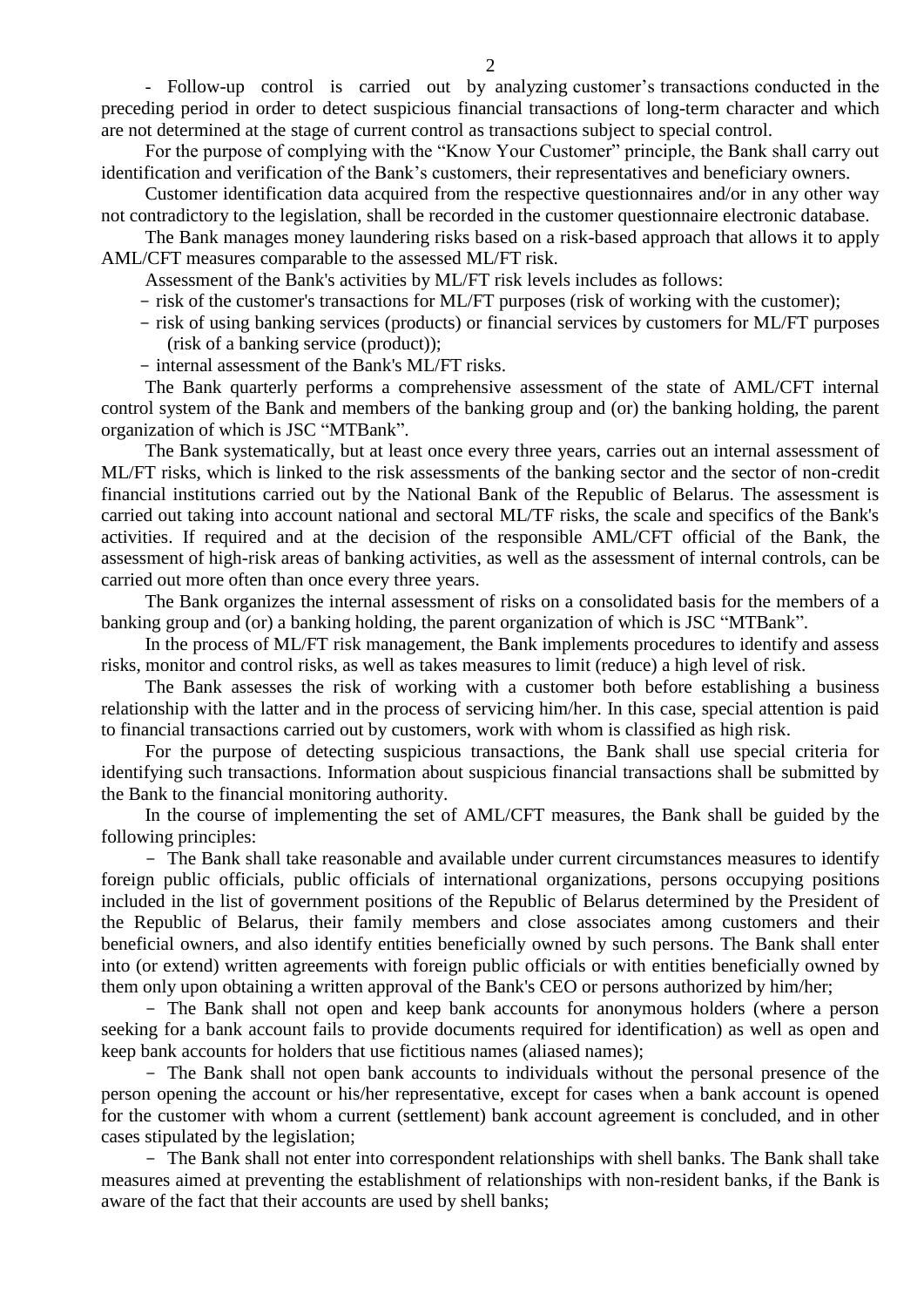Follow-up control is carried out by analyzing customer's transactions conducted in the preceding period in order to detect suspicious financial transactions of long-term character and which are not determined at the stage of current control as transactions subject to special control.

For the purpose of complying with the "Know Your Customer" principle, the Bank shall carry out identification and verification of the Bank's customers, their representatives and beneficiary owners.

Customer identification data acquired from the respective questionnaires and/or in any other way not contradictory to the legislation, shall be recorded in the customer questionnaire electronic database.

The Bank manages money laundering risks based on a risk-based approach that allows it to apply AML/CFT measures comparable to the assessed ML/FT risk.

Assessment of the Bank's activities by ML/FT risk levels includes as follows:

- risk of the customer's transactions for ML/FT purposes (risk of working with the customer);

- risk of using banking services (products) or financial services by customers for ML/FT purposes (risk of a banking service (product));
- internal assessment of the Bank's ML/FT risks.

The Bank quarterly performs a comprehensive assessment of the state of AML/CFT internal control system of the Bank and members of the banking group and (or) the banking holding, the parent organization of which is JSC "MTBank".

The Bank systematically, but at least once every three years, carries out an internal assessment of ML/FT risks, which is linked to the risk assessments of the banking sector and the sector of non-credit financial institutions carried out by the National Bank of the Republic of Belarus. The assessment is carried out taking into account national and sectoral ML/TF risks, the scale and specifics of the Bank's activities. If required and at the decision of the responsible AML/CFT official of the Bank, the assessment of high-risk areas of banking activities, as well as the assessment of internal controls, can be carried out more often than once every three years.

The Bank organizes the internal assessment of risks on a consolidated basis for the members of a banking group and (or) a banking holding, the parent organization of which is JSC "MTBank".

In the process of ML/FT risk management, the Bank implements procedures to identify and assess risks, monitor and control risks, as well as takes measures to limit (reduce) a high level of risk.

The Bank assesses the risk of working with a customer both before establishing a business relationship with the latter and in the process of servicing him/her. In this case, special attention is paid to financial transactions carried out by customers, work with whom is classified as high risk.

For the purpose of detecting suspicious transactions, the Bank shall use special criteria for identifying such transactions. Information about suspicious financial transactions shall be submitted by the Bank to the financial monitoring authority.

In the course of implementing the set of AML/CFT measures, the Bank shall be guided by the following principles:

 The Bank shall take reasonable and available under current circumstances measures to identify foreign public officials, public officials of international organizations, persons occupying positions included in the list of government positions of the Republic of Belarus determined by the President of the Republic of Belarus, their family members and close associates among customers and their beneficial owners, and also identify entities beneficially owned by such persons. The Bank shall enter into (or extend) written agreements with foreign public officials or with entities beneficially owned by them only upon obtaining a written approval of the Bank's CEO or persons authorized by him/her;

- The Bank shall not open and keep bank accounts for anonymous holders (where a person seeking for a bank account fails to provide documents required for identification) as well as open and keep bank accounts for holders that use fictitious names (aliased names);

 The Bank shall not open bank accounts to individuals without the personal presence of the person opening the account or his/her representative, except for cases when a bank account is opened for the customer with whom a current (settlement) bank account agreement is concluded, and in other cases stipulated by the legislation;

 The Bank shall not enter into correspondent relationships with shell banks. The Bank shall take measures aimed at preventing the establishment of relationships with non-resident banks, if the Bank is aware of the fact that their accounts are used by shell banks;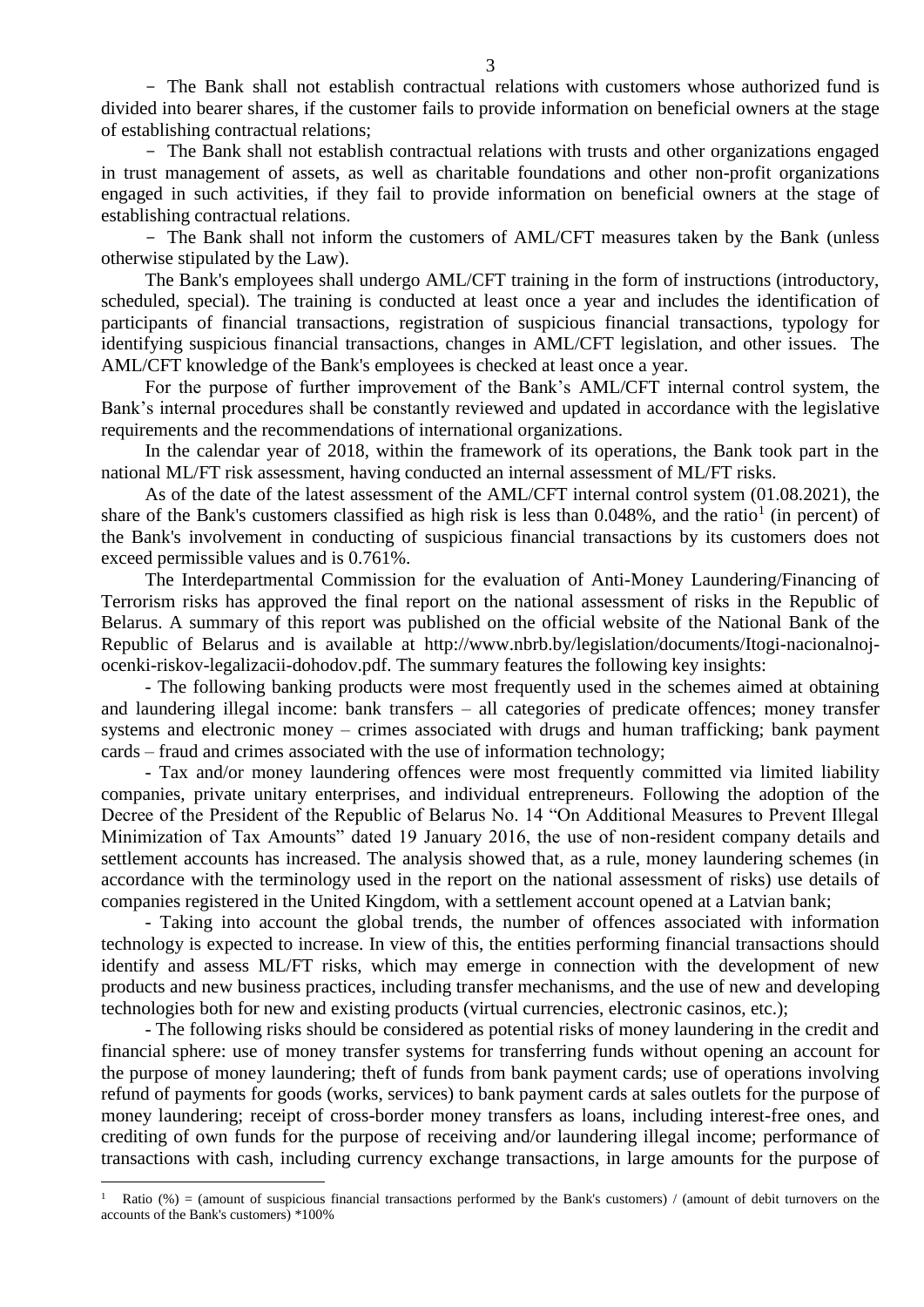The Bank shall not establish contractual relations with customers whose authorized fund is divided into bearer shares, if the customer fails to provide information on beneficial owners at the stage of establishing contractual relations;

 The Bank shall not establish contractual relations with trusts and other organizations engaged in trust management of assets, as well as charitable foundations and other non-profit organizations engaged in such activities, if they fail to provide information on beneficial owners at the stage of establishing contractual relations.

- The Bank shall not inform the customers of AML/CFT measures taken by the Bank (unless otherwise stipulated by the Law).

The Bank's employees shall undergo AML/CFT training in the form of instructions (introductory, scheduled, special). The training is conducted at least once a year and includes the identification of participants of financial transactions, registration of suspicious financial transactions, typology for identifying suspicious financial transactions, changes in AML/CFT legislation, and other issues. The AML/CFT knowledge of the Bank's employees is checked at least once a year.

For the purpose of further improvement of the Bank's AML/CFT internal control system, the Bank's internal procedures shall be constantly reviewed and updated in accordance with the legislative requirements and the recommendations of international organizations.

In the calendar year of 2018, within the framework of its operations, the Bank took part in the national ML/FT risk assessment, having conducted an internal assessment of ML/FT risks.

As of the date of the latest assessment of the AML/CFT internal control system (01.08.2021), the share of the Bank's customers classified as high risk is less than  $0.048\%$ , and the ratio<sup>1</sup> (in percent) of the Bank's involvement in conducting of suspicious financial transactions by its customers does not exceed permissible values and is 0.761%.

The Interdepartmental Commission for the evaluation of Anti-Money Laundering/Financing of Terrorism risks has approved the final report on the national assessment of risks in the Republic of Belarus. A summary of this report was published on the official website of the National Bank of the Republic of Belarus and is available at [http://www.nbrb.by/legislation/documents/Itogi-nacionalnoj](http://www.nbrb.by/legislation/documents/Itogi-nacionalnoj-ocenki-riskov-legalizacii-dohodov.pdf)[ocenki-riskov-legalizacii-dohodov.pdf.](http://www.nbrb.by/legislation/documents/Itogi-nacionalnoj-ocenki-riskov-legalizacii-dohodov.pdf) The summary features the following key insights:

- The following banking products were most frequently used in the schemes aimed at obtaining and laundering illegal income: bank transfers – all categories of predicate offences; money transfer systems and electronic money – crimes associated with drugs and human trafficking; bank payment cards – fraud and crimes associated with the use of information technology;

- Tax and/or money laundering offences were most frequently committed via limited liability companies, private unitary enterprises, and individual entrepreneurs. Following the adoption of the Decree of the President of the Republic of Belarus No. 14 "On Additional Measures to Prevent Illegal Minimization of Tax Amounts" dated 19 January 2016, the use of non-resident company details and settlement accounts has increased. The analysis showed that, as a rule, money laundering schemes (in accordance with the terminology used in the report on the national assessment of risks) use details of companies registered in the United Kingdom, with a settlement account opened at a Latvian bank;

- Taking into account the global trends, the number of offences associated with information technology is expected to increase. In view of this, the entities performing financial transactions should identify and assess ML/FT risks, which may emerge in connection with the development of new products and new business practices, including transfer mechanisms, and the use of new and developing technologies both for new and existing products (virtual currencies, electronic casinos, etc.);

- The following risks should be considered as potential risks of money laundering in the credit and financial sphere: use of money transfer systems for transferring funds without opening an account for the purpose of money laundering; theft of funds from bank payment cards; use of operations involving refund of payments for goods (works, services) to bank payment cards at sales outlets for the purpose of money laundering; receipt of cross-border money transfers as loans, including interest-free ones, and crediting of own funds for the purpose of receiving and/or laundering illegal income; performance of transactions with cash, including currency exchange transactions, in large amounts for the purpose of

 $\overline{a}$ 

<sup>1</sup> Ratio (%) = (amount of suspicious financial transactions performed by the Bank's customers) / (amount of debit turnovers on the accounts of the Bank's customers) \*100%